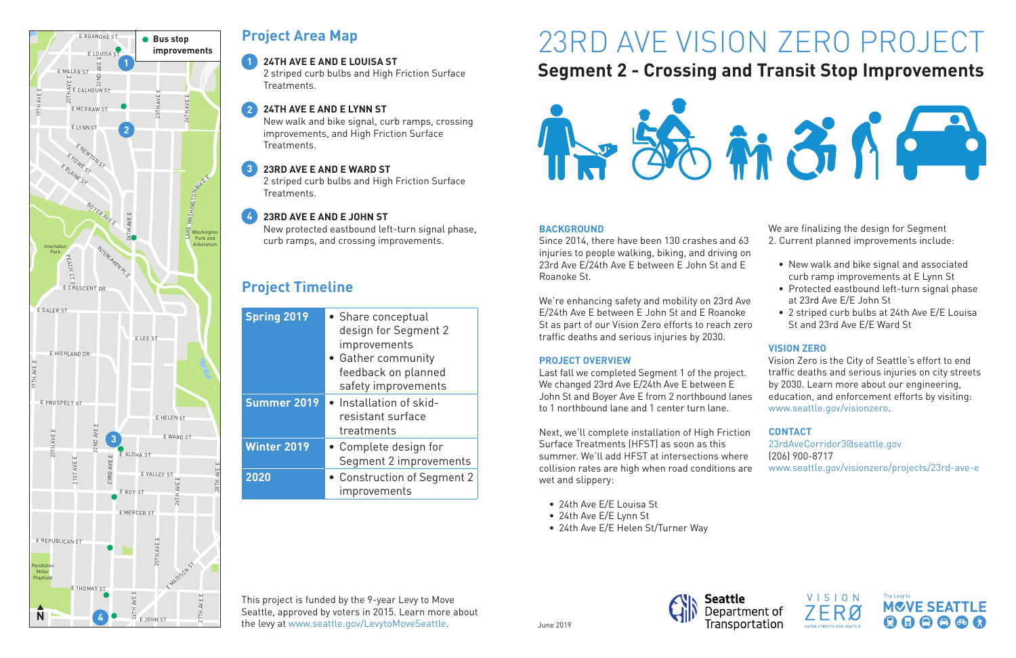# 23RD AVE VISION ZERO PROJECT **Segment 2 - Crossing and Transit Stop Improvements**



### **BACKGROUND**

Since 2014, there have been 130 crashes and 63 injuries to people walking, biking, and driving on 23rd Ave E/24th Ave E between E John St and E Roanoke St.

We're enhancing safety and mobility on 23rd Av E/24th Ave E between E John St and E Roanoke St as part of our Vision Zero efforts to reach zer traffic deaths and serious injuries by 2030.

Next, we'll complete installation of High Friction Surface Treatments (HFST) as soon as this summer. We'll add HFST at intersections where collision rates are high when road conditions ar wet and slippery:

### **PROJECT OVERVIEW**

Last fall we completed Segment 1 of the project. We changed 23rd Ave E/24th Ave E between E John St and Boyer Ave E from 2 northbound lane to 1 northbound lane and 1 center turn lane.

- 24th Ave E/E Louisa St
- 24th Ave E/E Lynn St
- 24th Ave E/E Helen St/Turner Way



| 3<br>'n      | We are finalizing the design for Segment<br>2. Current planned improvements include:                                                                                                                                                                            |  |
|--------------|-----------------------------------------------------------------------------------------------------------------------------------------------------------------------------------------------------------------------------------------------------------------|--|
| /e<br>ro     | $\bullet\,$ New walk and bike signal and associated<br>curb ramp improvements at E Lynn St<br>• Protected eastbound left-turn signal phase<br>at 23rd Ave E/E John St<br>• 2 striped curb bulbs at 24th Ave E/E Louisa<br>St and 23rd Ave E/E Ward St           |  |
| 9S.          | <b>VISION ZERO</b><br>Vision Zero is the City of Seattle's effort to end<br>traffic deaths and serious injuries on city streets<br>by 2030. Learn more about our engineering,<br>education, and enforcement efforts by visiting:<br>www.seattle.gov/visionzero. |  |
| n<br>e<br>re | <b>CONTACT</b><br>23rdAveCorridor3@seattle.gov<br>$(206)$ 900-8717<br>www.seattle.gov/visionzero/projects/23rd-ave-e                                                                                                                                            |  |







# **Project Area Map**

### **24TH AVE E AND E LOUISA ST**

2 striped curb bulbs and High Friction Surface Treatments.

New walk and bike signal, curb ramps, crossing improvements, and High Friction Surface Treatments.

2 striped curb bulbs and High Friction Surface Treatments.

New protected eastbound left-turn signal phase, curb ramps, and crossing improvements.

#### **24TH AVE E AND E LYNN ST 2**

## **Project Timeline**

#### **23RD AVE E AND E WARD ST 3**

#### **23RD AVE E AND E JOHN ST 4**

| <b>Spring 2019</b> | • Share conceptual<br>design for Segment 2<br>improvements<br>• Gather community<br>feedback on planned<br>safety improvements |  |
|--------------------|--------------------------------------------------------------------------------------------------------------------------------|--|
| <b>Summer 2019</b> | • Installation of skid-<br>resistant surface<br>treatments                                                                     |  |
| <b>Winter 2019</b> | • Complete design for<br>Segment 2 improvements                                                                                |  |
| 2020               | • Construction of Segment 2<br>improvements                                                                                    |  |

This project is funded by the 9-year Levy to Move Seattle, approved by voters in 2015. Learn more about the levy at www.seattle.gov/LevytoMoveSeattle.